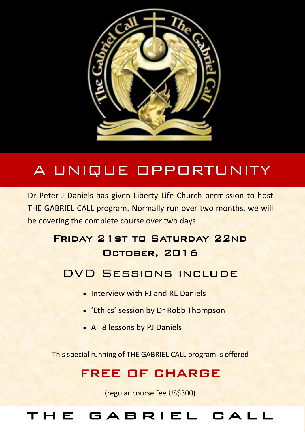

# A UNIQUE OPPORTUNITY

Dr Peter J Daniels has given Liberty Life Church permission to host THE GABRIEL CALL program. Normally run over two months, we will be covering the complete course over two days.

## Friday 21st to Saturday 22nd October, 2016

## DVD Sessions include

- **.** Interview with PL and RE Daniels
- 'Ethics' session by Dr Robb Thompson
- All 8 lessons by PJ Daniels

This special running of THE GABRIEL CALL program is offered

## FREE OF CHARGE

(regular course fee US\$300)

## GABRIEL CALL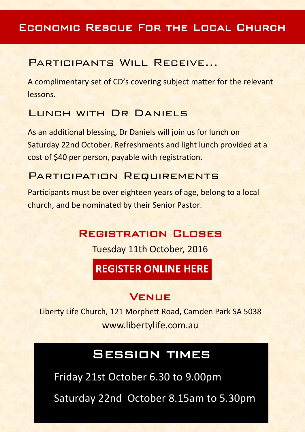#### Economic Rescue For the Local Church

#### Participants Will Receive…

A complimentary set of CD's covering subject matter for the relevant lessons.

#### LUNCH WITH DR DANIELS

As an additional blessing, Dr Daniels will join us for lunch on Saturday 22nd October. Refreshments and light lunch provided at a cost of \$40 per person, payable with registration.

#### PARTICIPATION REQUIREMENTS

Participants must be over eighteen years of age, belong to a local church, and be nominated by their Senior Pastor.

#### Registration Closes

Tuesday 11th October, 2016

## **[REGISTER ONLINE HERE](https://goo.gl/forms/jtsDQ4RpmTIWlXOV2)**

#### Venue

Liberty Life Church, 121 Morphett Road, Camden Park SA 5038 www.libertylife.com.au

## Session times

Friday 21st October 6.30 to 9.00pm

Saturday 22nd October 8.15am to 5.30pm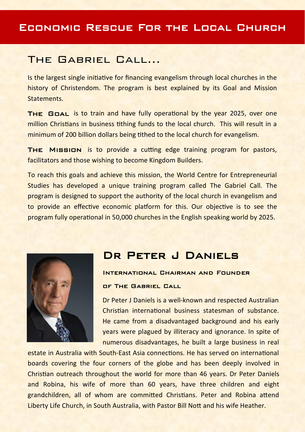#### The Gabriel Call…

Is the largest single initiative for financing evangelism through local churches in the history of Christendom. The program is best explained by its Goal and Mission **Statements** 

THE GOAL is to train and have fully operational by the year 2025, over one million Christians in business tithing funds to the local church. This will result in a minimum of 200 billion dollars being tithed to the local church for evangelism.

The Mission is to provide a cutting edge training program for pastors, facilitators and those wishing to become Kingdom Builders.

To reach this goals and achieve this mission, the World Centre for Entrepreneurial Studies has developed a unique training program called The Gabriel Call. The program is designed to support the authority of the local church in evangelism and to provide an effective economic platform for this. Our objective is to see the program fully operational in 50,000 churches in the English speaking world by 2025.



### Dr Peter J Daniels

#### International Chairman and Founder of The Gabriel Call

Dr Peter J Daniels is a well-known and respected Australian Christian international business statesman of substance. He came from a disadvantaged background and his early years were plagued by illiteracy and ignorance. In spite of numerous disadvantages, he built a large business in real

estate in Australia with South-East Asia connections. He has served on international boards covering the four corners of the globe and has been deeply involved in Christian outreach throughout the world for more than 46 years. Dr Peter Daniels and Robina, his wife of more than 60 years, have three children and eight grandchildren, all of whom are committed Christians. Peter and Robina attend Liberty Life Church, in South Australia, with Pastor Bill Nott and his wife Heather.